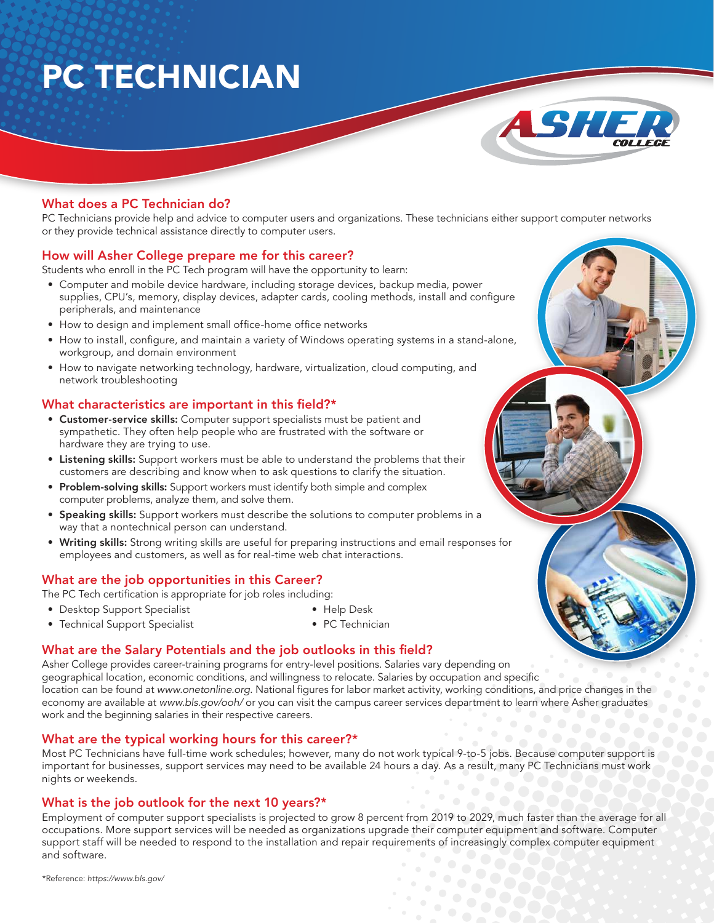# PC TECHNICIAN

# **ASH**

#### What does a PC Technician do?

PC Technicians provide help and advice to computer users and organizations. These technicians either support computer networks or they provide technical assistance directly to computer users.

#### How will Asher College prepare me for this career?

Students who enroll in the PC Tech program will have the opportunity to learn:

- Computer and mobile device hardware, including storage devices, backup media, power supplies, CPU's, memory, display devices, adapter cards, cooling methods, install and configure peripherals, and maintenance
- How to design and implement small office-home office networks
- How to install, configure, and maintain a variety of Windows operating systems in a stand-alone, workgroup, and domain environment
- How to navigate networking technology, hardware, virtualization, cloud computing, and network troubleshooting

#### What characteristics are important in this field?\*

- Customer-service skills: Computer support specialists must be patient and sympathetic. They often help people who are frustrated with the software or hardware they are trying to use.
- Listening skills: Support workers must be able to understand the problems that their customers are describing and know when to ask questions to clarify the situation.
- Problem-solving skills: Support workers must identify both simple and complex computer problems, analyze them, and solve them.
- Speaking skills: Support workers must describe the solutions to computer problems in a way that a nontechnical person can understand.
- Writing skills: Strong writing skills are useful for preparing instructions and email responses for employees and customers, as well as for real-time web chat interactions.

### What are the job opportunities in this Career?

The PC Tech certification is appropriate for job roles including:

• Desktop Support Specialist

• Help Desk

• Technical Support Specialist

• PC Technician

#### What are the Salary Potentials and the job outlooks in this field?

Asher College provides career-training programs for entry-level positions. Salaries vary depending on geographical location, economic conditions, and willingness to relocate. Salaries by occupation and specific location can be found at www.onetonline.org. National figures for labor market activity, working conditions, and price changes in the economy are available at www.bls.gov/ooh/ or you can visit the campus career services department to learn where Asher graduates

work and the beginning salaries in their respective careers.

#### What are the typical working hours for this career?\*

Most PC Technicians have full-time work schedules; however, many do not work typical 9-to-5 jobs. Because computer support is important for businesses, support services may need to be available 24 hours a day. As a result, many PC Technicians must work nights or weekends.

#### What is the job outlook for the next 10 years?\*

Employment of computer support specialists is projected to grow 8 percent from 2019 to 2029, much faster than the average for all occupations. More support services will be needed as organizations upgrade their computer equipment and software. Computer support staff will be needed to respond to the installation and repair requirements of increasingly complex computer equipment and software.